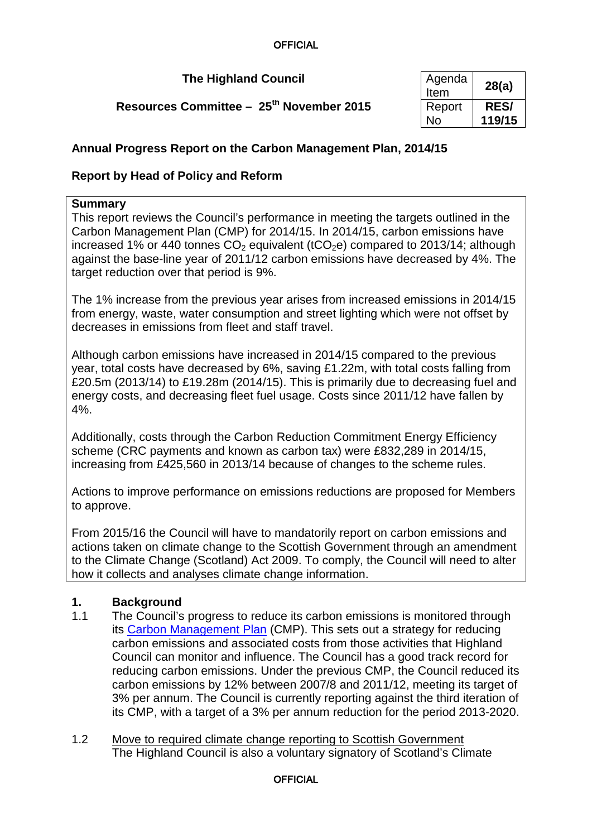**The Highland Council** 

**Resources Committee - 25<sup>th</sup> November 2015** 

| Agenda<br>Item | 28(a)       |
|----------------|-------------|
| Report         | <b>RES/</b> |
| N٥             | 119/15      |

# **Annual Progress Report on the Carbon Management Plan, 2014/15**

# **Report by Head of Policy and Reform**

### **Summary**

This report reviews the Council's performance in meeting the targets outlined in the Carbon Management Plan (CMP) for 2014/15. In 2014/15, carbon emissions have increased 1% or 440 tonnes  $CO<sub>2</sub>$  equivalent (tCO<sub>2</sub>e) compared to 2013/14; although against the base-line year of 2011/12 carbon emissions have decreased by 4%. The target reduction over that period is 9%.

The 1% increase from the previous year arises from increased emissions in 2014/15 from energy, waste, water consumption and street lighting which were not offset by decreases in emissions from fleet and staff travel.

Although carbon emissions have increased in 2014/15 compared to the previous year, total costs have decreased by 6%, saving £1.22m, with total costs falling from £20.5m (2013/14) to £19.28m (2014/15). This is primarily due to decreasing fuel and energy costs, and decreasing fleet fuel usage. Costs since 2011/12 have fallen by 4%.

Additionally, costs through the Carbon Reduction Commitment Energy Efficiency scheme (CRC payments and known as carbon tax) were £832,289 in 2014/15, increasing from £425,560 in 2013/14 because of changes to the scheme rules.

Actions to improve performance on emissions reductions are proposed for Members to approve.

From 2015/16 the Council will have to mandatorily report on carbon emissions and actions taken on climate change to the Scottish Government through an amendment to the Climate Change (Scotland) Act 2009. To comply, the Council will need to alter how it collects and analyses climate change information.

## **1. Background**

- 1.1 The Council's progress to reduce its carbon emissions is monitored through its [Carbon Management Plan](http://www.highland.gov.uk/downloads/file/3232/carbon_management_plan_2013_to_2020) (CMP). This sets out a strategy for reducing carbon emissions and associated costs from those activities that Highland Council can monitor and influence. The Council has a good track record for reducing carbon emissions. Under the previous CMP, the Council reduced its carbon emissions by 12% between 2007/8 and 2011/12, meeting its target of 3% per annum. The Council is currently reporting against the third iteration of its CMP, with a target of a 3% per annum reduction for the period 2013-2020.
- 1.2 Move to required climate change reporting to Scottish Government The Highland Council is also a voluntary signatory of Scotland's Climate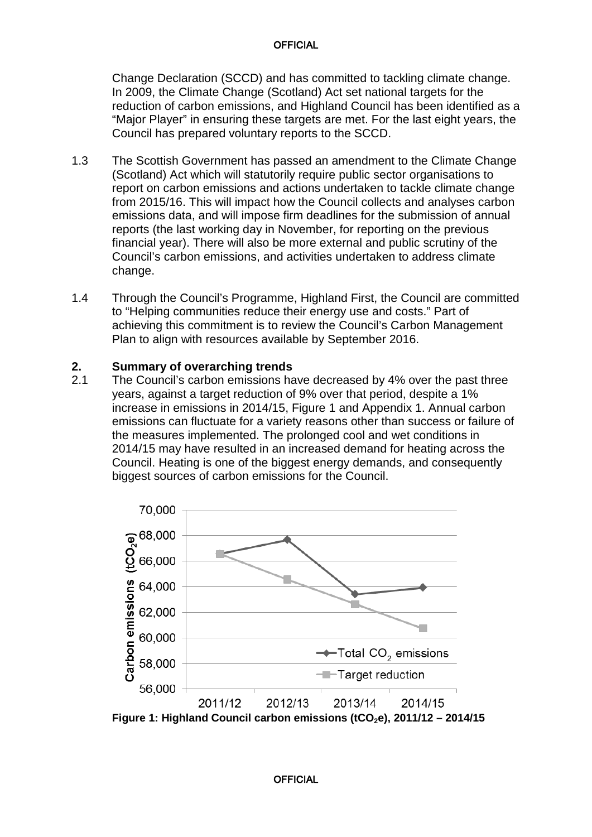Change Declaration (SCCD) and has committed to tackling climate change. In 2009, the Climate Change (Scotland) Act set national targets for the reduction of carbon emissions, and Highland Council has been identified as a "Major Player" in ensuring these targets are met. For the last eight years, the Council has prepared voluntary reports to the SCCD.

- 1.3 The Scottish Government has passed an amendment to the Climate Change (Scotland) Act which will statutorily require public sector organisations to report on carbon emissions and actions undertaken to tackle climate change from 2015/16. This will impact how the Council collects and analyses carbon emissions data, and will impose firm deadlines for the submission of annual reports (the last working day in November, for reporting on the previous financial year). There will also be more external and public scrutiny of the Council's carbon emissions, and activities undertaken to address climate change.
- 1.4 Through the Council's Programme, Highland First, the Council are committed to "Helping communities reduce their energy use and costs." Part of achieving this commitment is to review the Council's Carbon Management Plan to align with resources available by September 2016.

### **2. Summary of overarching trends**

2.1 The Council's carbon emissions have decreased by 4% over the past three years, against a target reduction of 9% over that period, despite a 1% increase in emissions in 2014/15, Figure 1 and Appendix 1. Annual carbon emissions can fluctuate for a variety reasons other than success or failure of the measures implemented. The prolonged cool and wet conditions in 2014/15 may have resulted in an increased demand for heating across the Council. Heating is one of the biggest energy demands, and consequently biggest sources of carbon emissions for the Council.

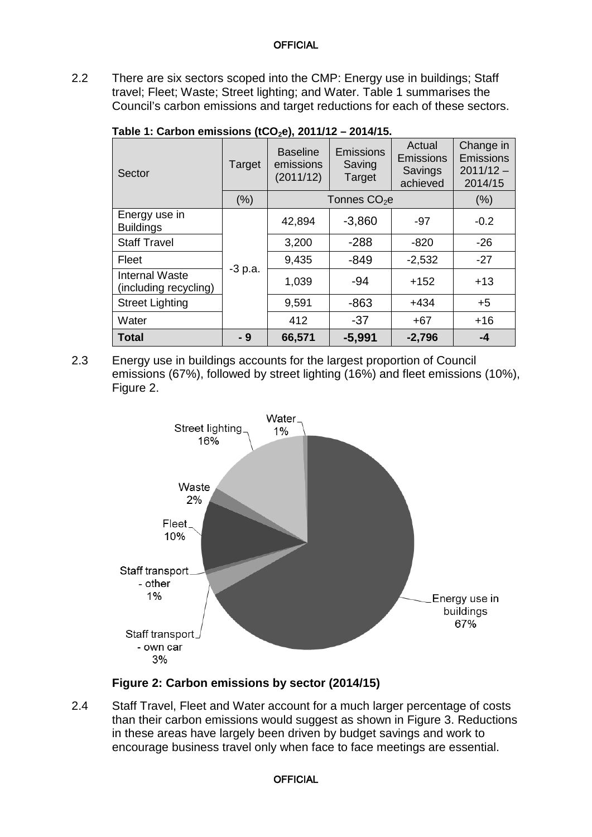2.2 There are six sectors scoped into the CMP: Energy use in buildings; Staff travel; Fleet; Waste; Street lighting; and Water. Table 1 summarises the Council's carbon emissions and target reductions for each of these sectors.

| Sector                                         | Target    | $\sqrt{2}$<br><b>Baseline</b><br>emissions<br>(2011/12) | <b>Emissions</b><br>Saving<br>Target | Actual<br><b>Emissions</b><br>Savings<br>achieved | Change in<br><b>Emissions</b><br>$2011/12 -$<br>2014/15 |
|------------------------------------------------|-----------|---------------------------------------------------------|--------------------------------------|---------------------------------------------------|---------------------------------------------------------|
|                                                | (% )      | Tonnes CO <sub>2</sub> e                                | (% )                                 |                                                   |                                                         |
| Energy use in<br><b>Buildings</b>              |           | 42,894                                                  | $-3,860$                             | -97                                               | $-0.2$                                                  |
| <b>Staff Travel</b>                            |           | 3,200                                                   | $-288$                               | $-820$                                            | $-26$                                                   |
| Fleet                                          |           | 9,435                                                   | $-849$                               | $-2,532$                                          | $-27$                                                   |
| <b>Internal Waste</b><br>(including recycling) | $-3 p.a.$ | 1,039                                                   | $-94$                                | $+152$                                            | $+13$                                                   |
| <b>Street Lighting</b>                         |           | 9,591                                                   | $-863$                               | $+434$                                            | $+5$                                                    |
| Water                                          |           | 412                                                     | $-37$                                | $+67$                                             | $+16$                                                   |
| <b>Total</b>                                   | - 9       | 66,571                                                  | $-5,991$                             | $-2,796$                                          | -4                                                      |

**Table 1: Carbon emissions (tCO2e), 2011/12 – 2014/15.** 

2.3 Energy use in buildings accounts for the largest proportion of Council emissions (67%), followed by street lighting (16%) and fleet emissions (10%), Figure 2.



## **Figure 2: Carbon emissions by sector (2014/15)**

2.4 Staff Travel, Fleet and Water account for a much larger percentage of costs than their carbon emissions would suggest as shown in Figure 3. Reductions in these areas have largely been driven by budget savings and work to encourage business travel only when face to face meetings are essential.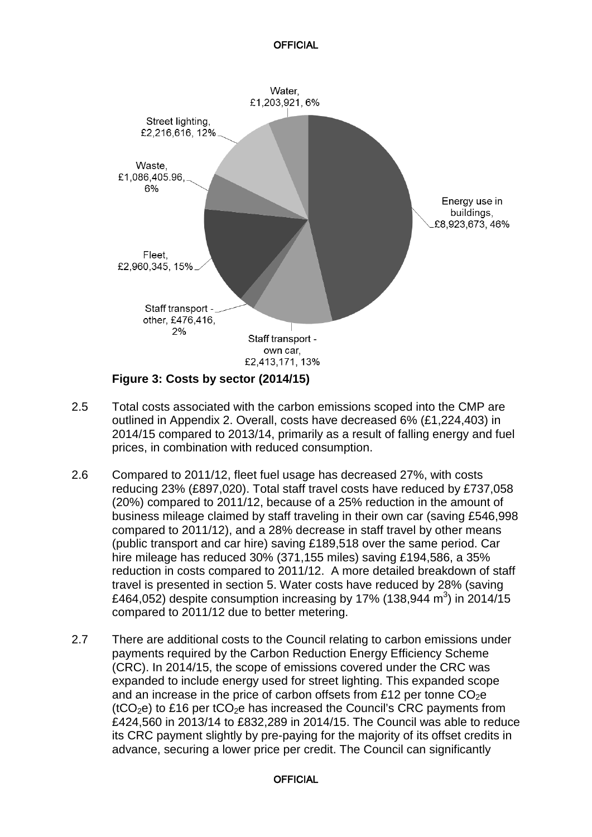

- 
- 2.5 Total costs associated with the carbon emissions scoped into the CMP are outlined in Appendix 2. Overall, costs have decreased 6% (£1,224,403) in 2014/15 compared to 2013/14, primarily as a result of falling energy and fuel prices, in combination with reduced consumption.
- 2.6 Compared to 2011/12, fleet fuel usage has decreased 27%, with costs reducing 23% (£897,020). Total staff travel costs have reduced by £737,058 (20%) compared to 2011/12, because of a 25% reduction in the amount of business mileage claimed by staff traveling in their own car (saving £546,998 compared to 2011/12), and a 28% decrease in staff travel by other means (public transport and car hire) saving £189,518 over the same period. Car hire mileage has reduced 30% (371,155 miles) saving £194,586, a 35% reduction in costs compared to 2011/12. A more detailed breakdown of staff travel is presented in section 5. Water costs have reduced by 28% (saving £464,052) despite consumption increasing by 17% (138,944 m<sup>3</sup>) in 2014/15 compared to 2011/12 due to better metering.
- 2.7 There are additional costs to the Council relating to carbon emissions under payments required by the Carbon Reduction Energy Efficiency Scheme (CRC). In 2014/15, the scope of emissions covered under the CRC was expanded to include energy used for street lighting. This expanded scope and an increase in the price of carbon offsets from £12 per tonne  $CO<sub>2</sub>e$ ( $tCO<sub>2</sub>e$ ) to £16 per  $tCO<sub>2</sub>e$  has increased the Council's CRC payments from £424,560 in 2013/14 to £832,289 in 2014/15. The Council was able to reduce its CRC payment slightly by pre-paying for the majority of its offset credits in advance, securing a lower price per credit. The Council can significantly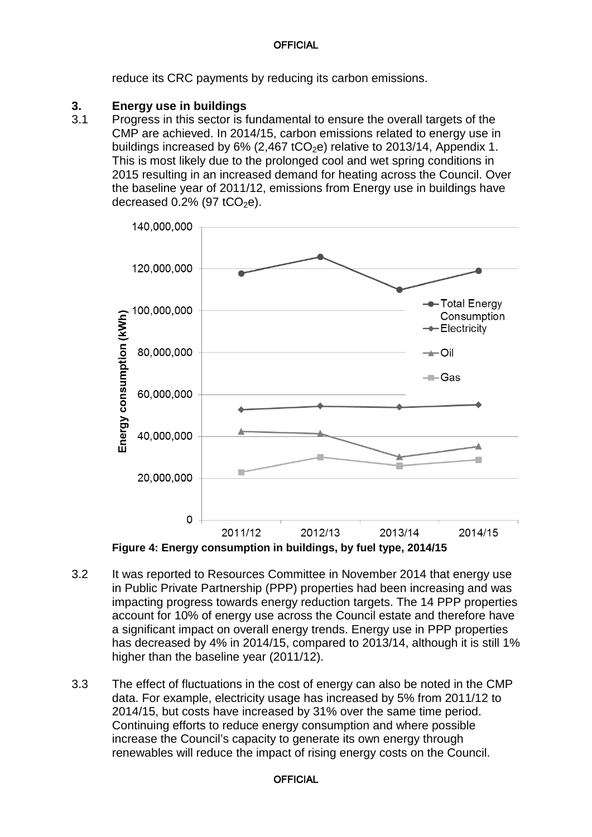reduce its CRC payments by reducing its carbon emissions.

### **3. Energy use in buildings**

3.1 Progress in this sector is fundamental to ensure the overall targets of the CMP are achieved. In 2014/15, carbon emissions related to energy use in buildings increased by  $6\%$  (2,467 tCO<sub>2</sub>e) relative to 2013/14, Appendix 1. This is most likely due to the prolonged cool and wet spring conditions in 2015 resulting in an increased demand for heating across the Council. Over the baseline year of 2011/12, emissions from Energy use in buildings have decreased  $0.2\%$  (97 tCO<sub>2</sub>e).



**Figure 4: Energy consumption in buildings, by fuel type, 2014/15**

- 3.2 It was reported to Resources Committee in November 2014 that energy use in Public Private Partnership (PPP) properties had been increasing and was impacting progress towards energy reduction targets. The 14 PPP properties account for 10% of energy use across the Council estate and therefore have a significant impact on overall energy trends. Energy use in PPP properties has decreased by 4% in 2014/15, compared to 2013/14, although it is still 1% higher than the baseline year (2011/12).
- 3.3 The effect of fluctuations in the cost of energy can also be noted in the CMP data. For example, electricity usage has increased by 5% from 2011/12 to 2014/15, but costs have increased by 31% over the same time period. Continuing efforts to reduce energy consumption and where possible increase the Council's capacity to generate its own energy through renewables will reduce the impact of rising energy costs on the Council.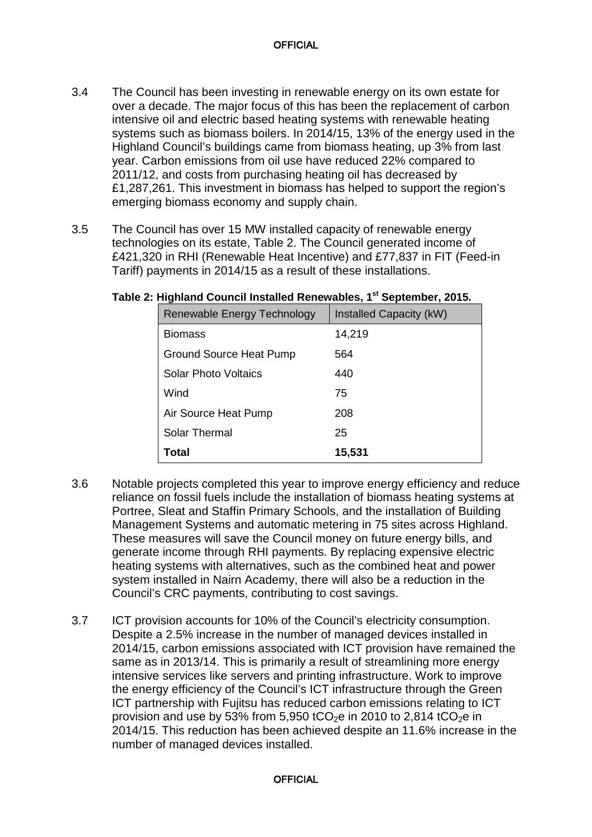- 3.4 The Council has been investing in renewable energy on its own estate for over a decade. The major focus of this has been the replacement of carbon intensive oil and electric based heating systems with renewable heating systems such as biomass boilers. In 2014/15, 13% of the energy used in the Highland Council's buildings came from biomass heating, up 3% from last year. Carbon emissions from oil use have reduced 22% compared to 2011/12, and costs from purchasing heating oil has decreased by £1,287,261. This investment in biomass has helped to support the region's emerging biomass economy and supply chain.
- 3.5 The Council has over 15 MW installed capacity of renewable energy technologies on its estate, Table 2. The Council generated income of £421,320 in RHI (Renewable Heat Incentive) and £77,837 in FIT (Feed-in Tariff) payments in 2014/15 as a result of these installations.

| Renewable Energy Technology    | Installed Capacity (kW) |
|--------------------------------|-------------------------|
| <b>Biomass</b>                 | 14,219                  |
| <b>Ground Source Heat Pump</b> | 564                     |
| Solar Photo Voltaics           | 440                     |
| Wind                           | 75                      |
| Air Source Heat Pump           | 208                     |
| <b>Solar Thermal</b>           | 25                      |
| Total                          | 15,531                  |

### **Table 2: Highland Council Installed Renewables, 1st September, 2015.**

- 3.6 Notable projects completed this year to improve energy efficiency and reduce reliance on fossil fuels include the installation of biomass heating systems at Portree, Sleat and Staffin Primary Schools, and the installation of Building Management Systems and automatic metering in 75 sites across Highland. These measures will save the Council money on future energy bills, and generate income through RHI payments. By replacing expensive electric heating systems with alternatives, such as the combined heat and power system installed in Nairn Academy, there will also be a reduction in the Council's CRC payments, contributing to cost savings.
- 3.7 ICT provision accounts for 10% of the Council's electricity consumption. Despite a 2.5% increase in the number of managed devices installed in 2014/15, carbon emissions associated with ICT provision have remained the same as in 2013/14. This is primarily a result of streamlining more energy intensive services like servers and printing infrastructure. Work to improve the energy efficiency of the Council's ICT infrastructure through the Green ICT partnership with Fujitsu has reduced carbon emissions relating to ICT provision and use by 53% from 5,950 tCO<sub>2</sub>e in 2010 to 2,814 tCO<sub>2</sub>e in 2014/15. This reduction has been achieved despite an 11.6% increase in the number of managed devices installed.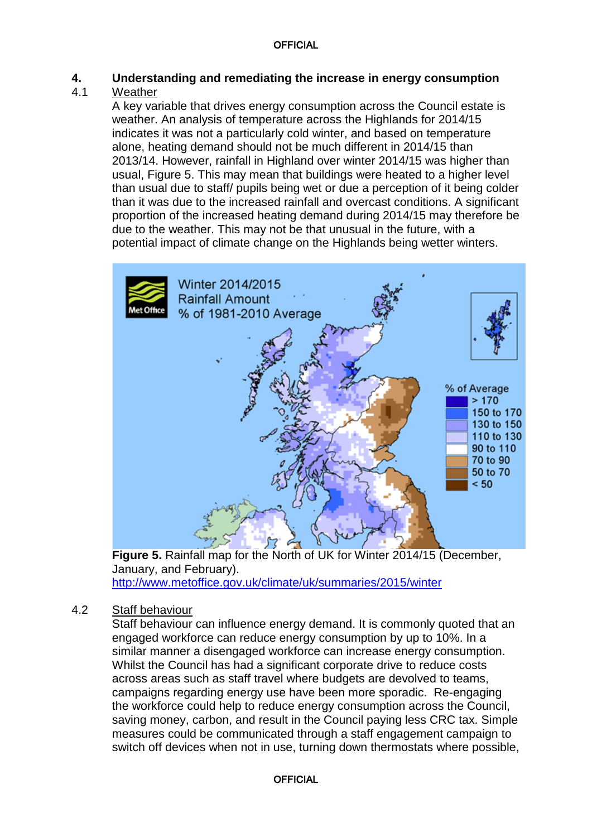# **4. Understanding and remediating the increase in energy consumption**

# Weather

A key variable that drives energy consumption across the Council estate is weather. An analysis of temperature across the Highlands for 2014/15 indicates it was not a particularly cold winter, and based on temperature alone, heating demand should not be much different in 2014/15 than 2013/14. However, rainfall in Highland over winter 2014/15 was higher than usual, Figure 5. This may mean that buildings were heated to a higher level than usual due to staff/ pupils being wet or due a perception of it being colder than it was due to the increased rainfall and overcast conditions. A significant proportion of the increased heating demand during 2014/15 may therefore be due to the weather. This may not be that unusual in the future, with a potential impact of climate change on the Highlands being wetter winters.



**Figure 5.** Rainfall map for the North of UK for Winter 2014/15 (December, January, and February). <http://www.metoffice.gov.uk/climate/uk/summaries/2015/winter>

## 4.2 Staff behaviour

Staff behaviour can influence energy demand. It is commonly quoted that an engaged workforce can reduce energy consumption by up to 10%. In a similar manner a disengaged workforce can increase energy consumption. Whilst the Council has had a significant corporate drive to reduce costs across areas such as staff travel where budgets are devolved to teams, campaigns regarding energy use have been more sporadic. Re-engaging the workforce could help to reduce energy consumption across the Council, saving money, carbon, and result in the Council paying less CRC tax. Simple measures could be communicated through a staff engagement campaign to switch off devices when not in use, turning down thermostats where possible,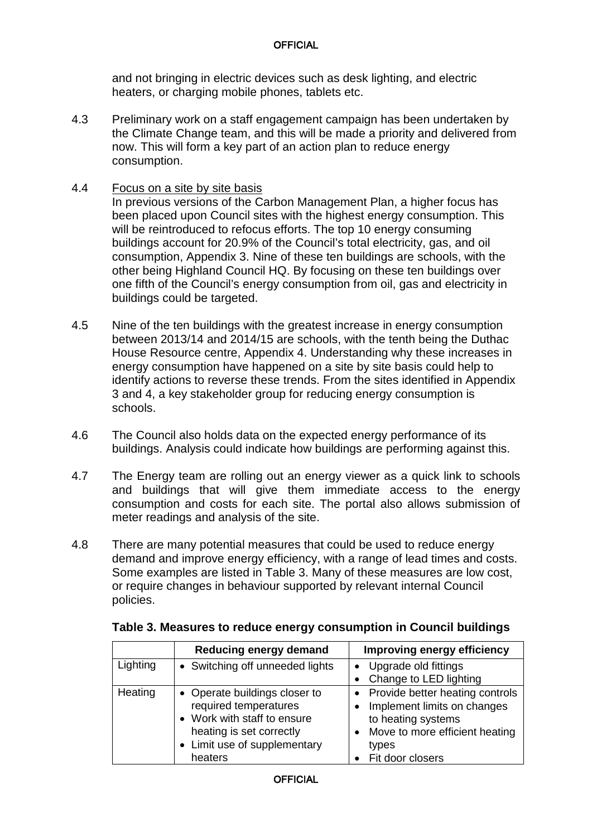and not bringing in electric devices such as desk lighting, and electric heaters, or charging mobile phones, tablets etc.

- 4.3 Preliminary work on a staff engagement campaign has been undertaken by the Climate Change team, and this will be made a priority and delivered from now. This will form a key part of an action plan to reduce energy consumption.
- 4.4 Focus on a site by site basis

In previous versions of the Carbon Management Plan, a higher focus has been placed upon Council sites with the highest energy consumption. This will be reintroduced to refocus efforts. The top 10 energy consuming buildings account for 20.9% of the Council's total electricity, gas, and oil consumption, Appendix 3. Nine of these ten buildings are schools, with the other being Highland Council HQ. By focusing on these ten buildings over one fifth of the Council's energy consumption from oil, gas and electricity in buildings could be targeted.

- 4.5 Nine of the ten buildings with the greatest increase in energy consumption between 2013/14 and 2014/15 are schools, with the tenth being the Duthac House Resource centre, Appendix 4. Understanding why these increases in energy consumption have happened on a site by site basis could help to identify actions to reverse these trends. From the sites identified in Appendix 3 and 4, a key stakeholder group for reducing energy consumption is schools.
- 4.6 The Council also holds data on the expected energy performance of its buildings. Analysis could indicate how buildings are performing against this.
- 4.7 The Energy team are rolling out an energy viewer as a quick link to schools and buildings that will give them immediate access to the energy consumption and costs for each site. The portal also allows submission of meter readings and analysis of the site.
- 4.8 There are many potential measures that could be used to reduce energy demand and improve energy efficiency, with a range of lead times and costs. Some examples are listed in Table 3. Many of these measures are low cost, or require changes in behaviour supported by relevant internal Council policies.

|          | <b>Reducing energy demand</b>                                                                                                                                | Improving energy efficiency                                                                                                                         |
|----------|--------------------------------------------------------------------------------------------------------------------------------------------------------------|-----------------------------------------------------------------------------------------------------------------------------------------------------|
| Lighting | • Switching off unneeded lights                                                                                                                              | Upgrade old fittings<br>Change to LED lighting                                                                                                      |
| Heating  | • Operate buildings closer to<br>required temperatures<br>• Work with staff to ensure<br>heating is set correctly<br>• Limit use of supplementary<br>heaters | Provide better heating controls<br>Implement limits on changes<br>to heating systems<br>Move to more efficient heating<br>types<br>Fit door closers |

### **Table 3. Measures to reduce energy consumption in Council buildings**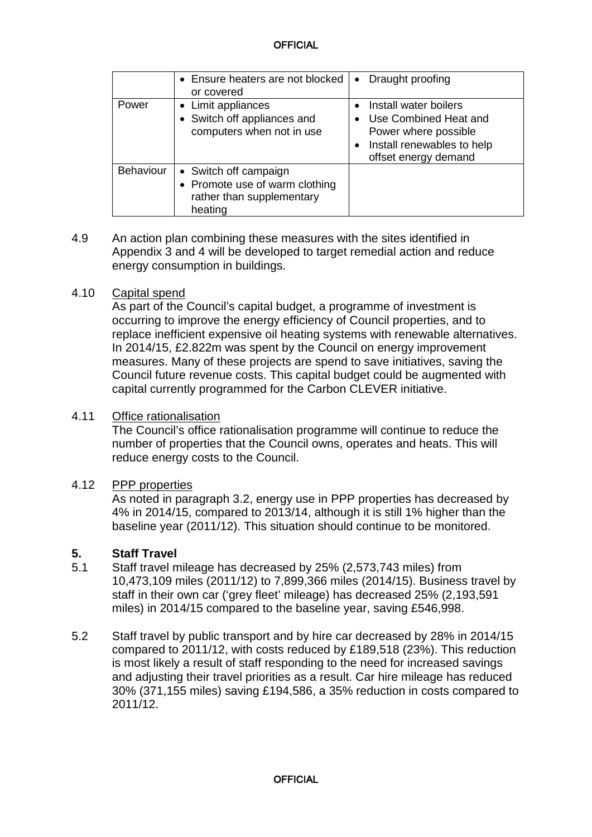|                  | • Ensure heaters are not blocked<br>or covered                                                  | Draught proofing<br>$\bullet$                                                                                                |
|------------------|-------------------------------------------------------------------------------------------------|------------------------------------------------------------------------------------------------------------------------------|
| Power            | • Limit appliances<br>Switch off appliances and<br>computers when not in use                    | Install water boilers<br>Use Combined Heat and<br>Power where possible<br>Install renewables to help<br>offset energy demand |
| <b>Behaviour</b> | • Switch off campaign<br>• Promote use of warm clothing<br>rather than supplementary<br>heating |                                                                                                                              |

4.9 An action plan combining these measures with the sites identified in Appendix 3 and 4 will be developed to target remedial action and reduce energy consumption in buildings.

### 4.10 Capital spend

As part of the Council's capital budget, a programme of investment is occurring to improve the energy efficiency of Council properties, and to replace inefficient expensive oil heating systems with renewable alternatives. In 2014/15, £2.822m was spent by the Council on energy improvement measures. Many of these projects are spend to save initiatives, saving the Council future revenue costs. This capital budget could be augmented with capital currently programmed for the Carbon CLEVER initiative.

### 4.11 Office rationalisation

The Council's office rationalisation programme will continue to reduce the number of properties that the Council owns, operates and heats. This will reduce energy costs to the Council.

### 4.12 PPP properties

As noted in paragraph 3.2, energy use in PPP properties has decreased by 4% in 2014/15, compared to 2013/14, although it is still 1% higher than the baseline year (2011/12). This situation should continue to be monitored.

### **5. Staff Travel**

- 5.1 Staff travel mileage has decreased by 25% (2,573,743 miles) from 10,473,109 miles (2011/12) to 7,899,366 miles (2014/15). Business travel by staff in their own car ('grey fleet' mileage) has decreased 25% (2,193,591 miles) in 2014/15 compared to the baseline year, saving £546,998.
- 5.2 Staff travel by public transport and by hire car decreased by 28% in 2014/15 compared to 2011/12, with costs reduced by £189,518 (23%). This reduction is most likely a result of staff responding to the need for increased savings and adjusting their travel priorities as a result. Car hire mileage has reduced 30% (371,155 miles) saving £194,586, a 35% reduction in costs compared to 2011/12.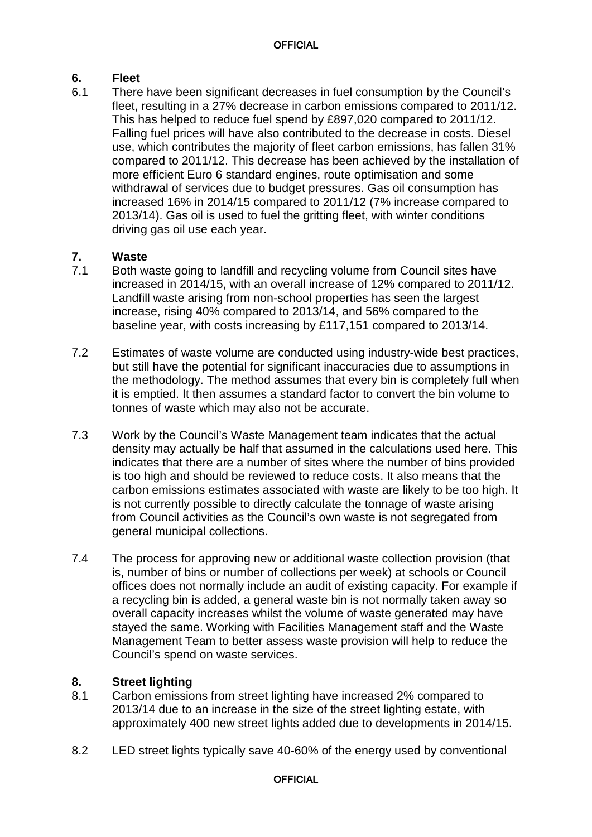# **6. Fleet**

There have been significant decreases in fuel consumption by the Council's fleet, resulting in a 27% decrease in carbon emissions compared to 2011/12. This has helped to reduce fuel spend by £897,020 compared to 2011/12. Falling fuel prices will have also contributed to the decrease in costs. Diesel use, which contributes the majority of fleet carbon emissions, has fallen 31% compared to 2011/12. This decrease has been achieved by the installation of more efficient Euro 6 standard engines, route optimisation and some withdrawal of services due to budget pressures. Gas oil consumption has increased 16% in 2014/15 compared to 2011/12 (7% increase compared to 2013/14). Gas oil is used to fuel the gritting fleet, with winter conditions driving gas oil use each year.

# **7. Waste**

- 7.1 Both waste going to landfill and recycling volume from Council sites have increased in 2014/15, with an overall increase of 12% compared to 2011/12. Landfill waste arising from non-school properties has seen the largest increase, rising 40% compared to 2013/14, and 56% compared to the baseline year, with costs increasing by £117,151 compared to 2013/14.
- 7.2 Estimates of waste volume are conducted using industry-wide best practices, but still have the potential for significant inaccuracies due to assumptions in the methodology. The method assumes that every bin is completely full when it is emptied. It then assumes a standard factor to convert the bin volume to tonnes of waste which may also not be accurate.
- 7.3 Work by the Council's Waste Management team indicates that the actual density may actually be half that assumed in the calculations used here. This indicates that there are a number of sites where the number of bins provided is too high and should be reviewed to reduce costs. It also means that the carbon emissions estimates associated with waste are likely to be too high. It is not currently possible to directly calculate the tonnage of waste arising from Council activities as the Council's own waste is not segregated from general municipal collections.
- 7.4 The process for approving new or additional waste collection provision (that is, number of bins or number of collections per week) at schools or Council offices does not normally include an audit of existing capacity. For example if a recycling bin is added, a general waste bin is not normally taken away so overall capacity increases whilst the volume of waste generated may have stayed the same. Working with Facilities Management staff and the Waste Management Team to better assess waste provision will help to reduce the Council's spend on waste services.

# **8. Street lighting**

- Carbon emissions from street lighting have increased 2% compared to 2013/14 due to an increase in the size of the street lighting estate, with approximately 400 new street lights added due to developments in 2014/15.
- 8.2 LED street lights typically save 40-60% of the energy used by conventional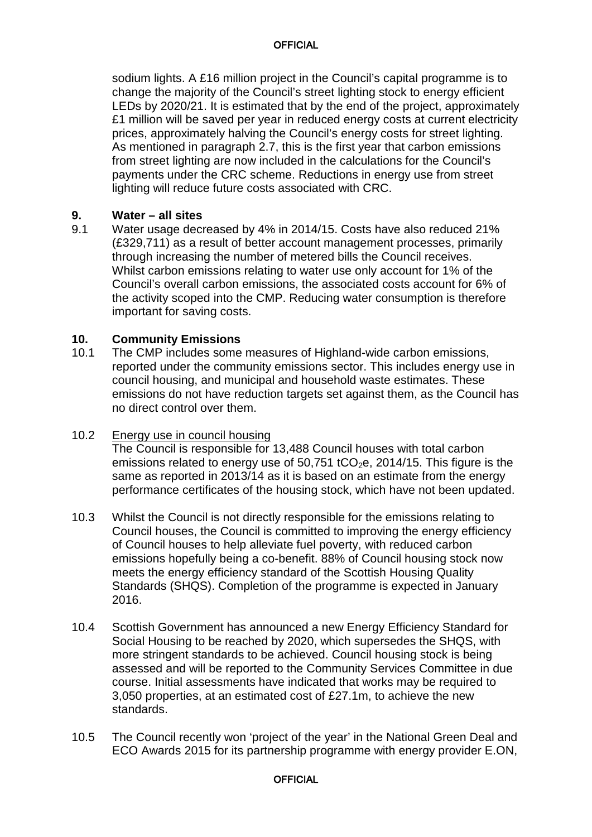sodium lights. A £16 million project in the Council's capital programme is to change the majority of the Council's street lighting stock to energy efficient LEDs by 2020/21. It is estimated that by the end of the project, approximately £1 million will be saved per year in reduced energy costs at current electricity prices, approximately halving the Council's energy costs for street lighting. As mentioned in paragraph 2.7, this is the first year that carbon emissions from street lighting are now included in the calculations for the Council's payments under the CRC scheme. Reductions in energy use from street lighting will reduce future costs associated with CRC.

# **9. Water – all sites**

Water usage decreased by 4% in 2014/15. Costs have also reduced 21% (£329,711) as a result of better account management processes, primarily through increasing the number of metered bills the Council receives. Whilst carbon emissions relating to water use only account for 1% of the Council's overall carbon emissions, the associated costs account for 6% of the activity scoped into the CMP. Reducing water consumption is therefore important for saving costs.

### **10. Community Emissions**

10.1 The CMP includes some measures of Highland-wide carbon emissions, reported under the community emissions sector. This includes energy use in council housing, and municipal and household waste estimates. These emissions do not have reduction targets set against them, as the Council has no direct control over them.

### 10.2 Energy use in council housing

The Council is responsible for 13,488 Council houses with total carbon emissions related to energy use of  $50,751$  tCO<sub>2</sub>e, 2014/15. This figure is the same as reported in 2013/14 as it is based on an estimate from the energy performance certificates of the housing stock, which have not been updated.

- 10.3 Whilst the Council is not directly responsible for the emissions relating to Council houses, the Council is committed to improving the energy efficiency of Council houses to help alleviate fuel poverty, with reduced carbon emissions hopefully being a co-benefit. 88% of Council housing stock now meets the energy efficiency standard of the Scottish Housing Quality Standards (SHQS). Completion of the programme is expected in January 2016.
- 10.4 Scottish Government has announced a new Energy Efficiency Standard for Social Housing to be reached by 2020, which supersedes the SHQS, with more stringent standards to be achieved. Council housing stock is being assessed and will be reported to the Community Services Committee in due course. Initial assessments have indicated that works may be required to 3,050 properties, at an estimated cost of £27.1m, to achieve the new standards.
- 10.5 The Council recently won 'project of the year' in the National Green Deal and ECO Awards 2015 for its partnership programme with energy provider E.ON,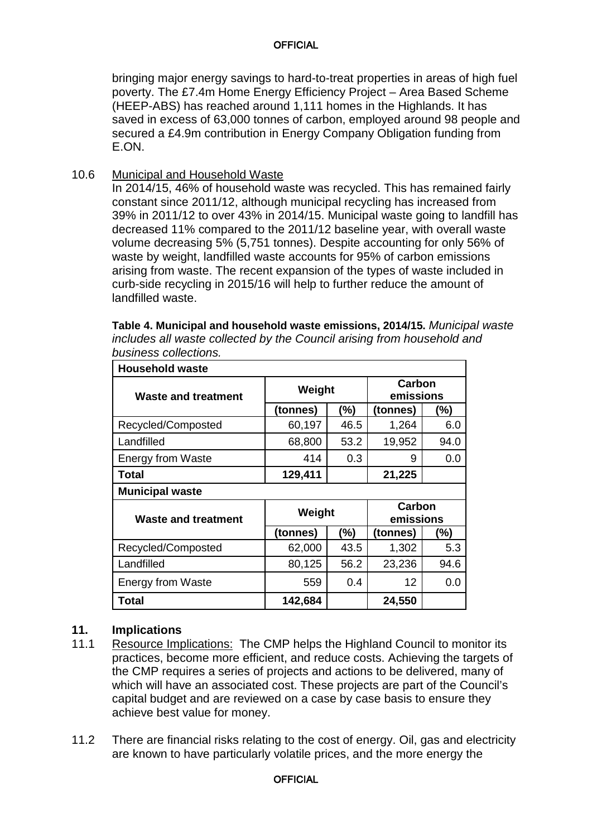bringing major energy savings to hard-to-treat properties in areas of high fuel poverty. The £7.4m Home Energy Efficiency Project – Area Based Scheme (HEEP-ABS) has reached around 1,111 homes in the Highlands. It has saved in excess of 63,000 tonnes of carbon, employed around 98 people and secured a £4.9m contribution in Energy Company Obligation funding from E.ON.

10.6 Municipal and Household Waste

In 2014/15, 46% of household waste was recycled. This has remained fairly constant since 2011/12, although municipal recycling has increased from 39% in 2011/12 to over 43% in 2014/15. Municipal waste going to landfill has decreased 11% compared to the 2011/12 baseline year, with overall waste volume decreasing 5% (5,751 tonnes). Despite accounting for only 56% of waste by weight, landfilled waste accounts for 95% of carbon emissions arising from waste. The recent expansion of the types of waste included in curb-side recycling in 2015/16 will help to further reduce the amount of landfilled waste.

| <b>Household waste</b>   |                               |        |          |                     |  |  |
|--------------------------|-------------------------------|--------|----------|---------------------|--|--|
| Waste and treatment      |                               | Weight |          | Carbon<br>emissions |  |  |
|                          | (tonnes)                      | (%)    | (tonnes) | (%)                 |  |  |
| Recycled/Composted       | 60,197                        | 46.5   | 1,264    | 6.0                 |  |  |
| Landfilled               | 68,800                        | 53.2   | 19,952   | 94.0                |  |  |
| <b>Energy from Waste</b> | 414                           | 0.3    | 9        | 0.0                 |  |  |
| <b>Total</b>             | 129,411                       |        | 21,225   |                     |  |  |
| <b>Municipal waste</b>   |                               |        |          |                     |  |  |
| Waste and treatment      | Carbon<br>Weight<br>emissions |        |          |                     |  |  |
|                          | (tonnes)                      | (%)    | (tonnes) | (%)                 |  |  |
| Recycled/Composted       | 62,000                        | 43.5   | 1,302    | 5.3                 |  |  |
| Landfilled               | 80,125                        | 56.2   | 23,236   | 94.6                |  |  |
| <b>Energy from Waste</b> | 559                           | 0.4    | 12       | 0.0                 |  |  |
|                          |                               |        |          |                     |  |  |

**Table 4. Municipal and household waste emissions, 2014/15.** *Municipal waste includes all waste collected by the Council arising from household and business collections.*

## **11. Implications**

- 11.1 Resource Implications: The CMP helps the Highland Council to monitor its practices, become more efficient, and reduce costs. Achieving the targets of the CMP requires a series of projects and actions to be delivered, many of which will have an associated cost. These projects are part of the Council's capital budget and are reviewed on a case by case basis to ensure they achieve best value for money.
- 11.2 There are financial risks relating to the cost of energy. Oil, gas and electricity are known to have particularly volatile prices, and the more energy the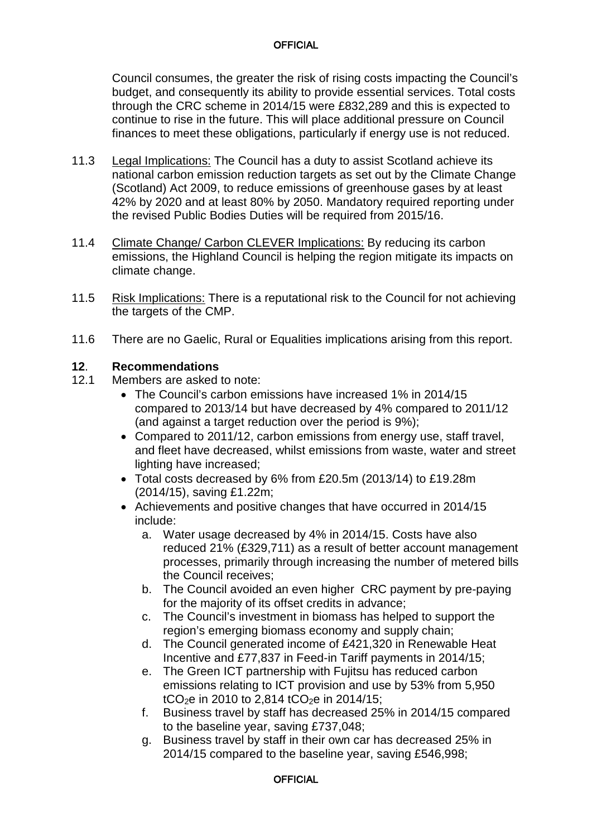Council consumes, the greater the risk of rising costs impacting the Council's budget, and consequently its ability to provide essential services. Total costs through the CRC scheme in 2014/15 were £832,289 and this is expected to continue to rise in the future. This will place additional pressure on Council finances to meet these obligations, particularly if energy use is not reduced.

- 11.3 Legal Implications: The Council has a duty to assist Scotland achieve its national carbon emission reduction targets as set out by the Climate Change (Scotland) Act 2009, to reduce emissions of greenhouse gases by at least 42% by 2020 and at least 80% by 2050. Mandatory required reporting under the revised Public Bodies Duties will be required from 2015/16.
- 11.4 Climate Change/ Carbon CLEVER Implications: By reducing its carbon emissions, the Highland Council is helping the region mitigate its impacts on climate change.
- 11.5 Risk Implications: There is a reputational risk to the Council for not achieving the targets of the CMP.
- 11.6 There are no Gaelic, Rural or Equalities implications arising from this report.

#### **12**. **Recommendations**

- 12.1 Members are asked to note:
	- The Council's carbon emissions have increased 1% in 2014/15 compared to 2013/14 but have decreased by 4% compared to 2011/12 (and against a target reduction over the period is 9%);
	- Compared to 2011/12, carbon emissions from energy use, staff travel, and fleet have decreased, whilst emissions from waste, water and street lighting have increased;
	- Total costs decreased by 6% from £20.5m (2013/14) to £19.28m (2014/15), saving £1.22m;
	- Achievements and positive changes that have occurred in 2014/15 include:
		- a. Water usage decreased by 4% in 2014/15. Costs have also reduced 21% (£329,711) as a result of better account management processes, primarily through increasing the number of metered bills the Council receives;
		- b. The Council avoided an even higher CRC payment by pre-paying for the majority of its offset credits in advance;
		- c. The Council's investment in biomass has helped to support the region's emerging biomass economy and supply chain;
		- d. The Council generated income of £421,320 in Renewable Heat Incentive and £77,837 in Feed-in Tariff payments in 2014/15;
		- e. The Green ICT partnership with Fujitsu has reduced carbon emissions relating to ICT provision and use by 53% from 5,950 tCO<sub>2</sub>e in 2010 to 2,814 tCO<sub>2</sub>e in 2014/15;
		- f. Business travel by staff has decreased 25% in 2014/15 compared to the baseline year, saving £737,048;
		- g. Business travel by staff in their own car has decreased 25% in 2014/15 compared to the baseline year, saving £546,998;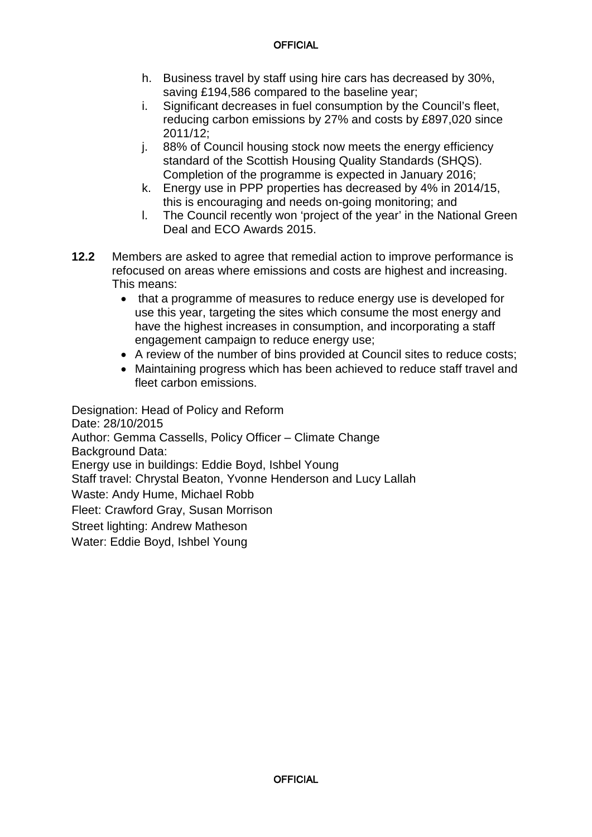- h. Business travel by staff using hire cars has decreased by 30%, saving £194,586 compared to the baseline year;
- i. Significant decreases in fuel consumption by the Council's fleet, reducing carbon emissions by 27% and costs by £897,020 since 2011/12;
- j. 88% of Council housing stock now meets the energy efficiency standard of the Scottish Housing Quality Standards (SHQS). Completion of the programme is expected in January 2016;
- k. Energy use in PPP properties has decreased by 4% in 2014/15, this is encouraging and needs on-going monitoring; and
- l. The Council recently won 'project of the year' in the National Green Deal and ECO Awards 2015.
- **12.2** Members are asked to agree that remedial action to improve performance is refocused on areas where emissions and costs are highest and increasing. This means:
	- that a programme of measures to reduce energy use is developed for use this year, targeting the sites which consume the most energy and have the highest increases in consumption, and incorporating a staff engagement campaign to reduce energy use;
	- A review of the number of bins provided at Council sites to reduce costs;
	- Maintaining progress which has been achieved to reduce staff travel and fleet carbon emissions.

Designation: Head of Policy and Reform Date: 28/10/2015 Author: Gemma Cassells, Policy Officer – Climate Change Background Data: Energy use in buildings: Eddie Boyd, Ishbel Young Staff travel: Chrystal Beaton, Yvonne Henderson and Lucy Lallah Waste: Andy Hume, Michael Robb Fleet: Crawford Gray, Susan Morrison Street lighting: Andrew Matheson Water: Eddie Boyd, Ishbel Young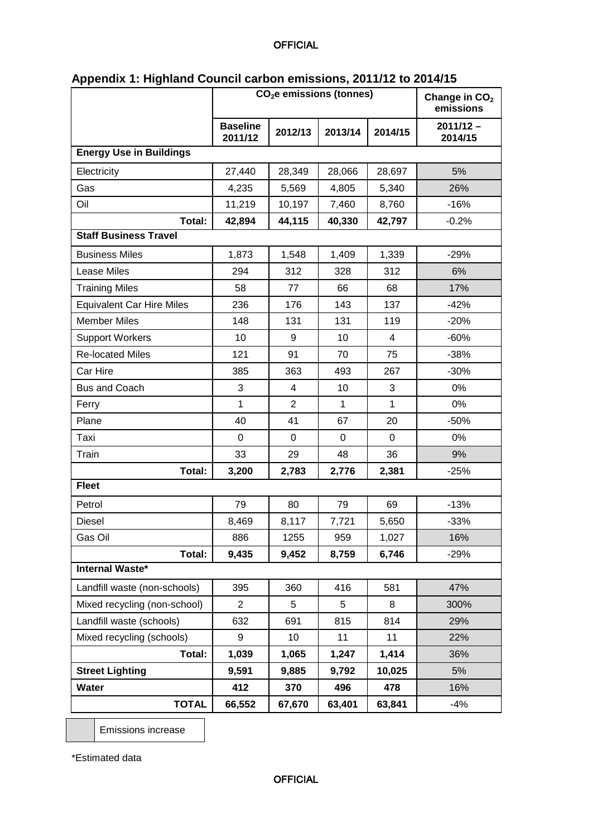|                                  | Appendix 1: Highiand Council carbon emissions, 2011/12 to 2014/15<br>CO <sub>2</sub> e emissions (tonnes) |                |              |              | Change in CO <sub>2</sub><br>emissions |
|----------------------------------|-----------------------------------------------------------------------------------------------------------|----------------|--------------|--------------|----------------------------------------|
|                                  | <b>Baseline</b><br>2011/12                                                                                | 2012/13        | 2013/14      | 2014/15      | $2011/12 -$<br>2014/15                 |
| <b>Energy Use in Buildings</b>   |                                                                                                           |                |              |              |                                        |
| Electricity                      | 27,440                                                                                                    | 28,349         | 28,066       | 28,697       | 5%                                     |
| Gas                              | 4,235                                                                                                     | 5,569          | 4,805        | 5,340        | 26%                                    |
| Oil                              | 11,219                                                                                                    | 10,197         | 7,460        | 8,760        | $-16%$                                 |
| Total:                           | 42,894                                                                                                    | 44,115         | 40,330       | 42,797       | $-0.2%$                                |
| <b>Staff Business Travel</b>     |                                                                                                           |                |              |              |                                        |
| <b>Business Miles</b>            | 1,873                                                                                                     | 1,548          | 1,409        | 1,339        | $-29%$                                 |
| Lease Miles                      | 294                                                                                                       | 312            | 328          | 312          | 6%                                     |
| <b>Training Miles</b>            | 58                                                                                                        | 77             | 66           | 68           | 17%                                    |
| <b>Equivalent Car Hire Miles</b> | 236                                                                                                       | 176            | 143          | 137          | $-42%$                                 |
| <b>Member Miles</b>              | 148                                                                                                       | 131            | 131          | 119          | $-20%$                                 |
| <b>Support Workers</b>           | 10                                                                                                        | 9              | 10           | 4            | $-60%$                                 |
| <b>Re-located Miles</b>          | 121                                                                                                       | 91             | 70           | 75           | $-38%$                                 |
| Car Hire                         | 385                                                                                                       | 363            | 493          | 267          | $-30%$                                 |
| <b>Bus and Coach</b>             | 3                                                                                                         | 4              | 10           | 3            | 0%                                     |
| Ferry                            | $\mathbf{1}$                                                                                              | $\overline{c}$ | $\mathbf{1}$ | $\mathbf{1}$ | 0%                                     |
| Plane                            | 40                                                                                                        | 41             | 67           | 20           | $-50%$                                 |
| Taxi                             | 0                                                                                                         | 0              | 0            | 0            | 0%                                     |
| Train                            | 33                                                                                                        | 29             | 48           | 36           | 9%                                     |
| Total:                           | 3,200                                                                                                     | 2,783          | 2,776        | 2,381        | $-25%$                                 |
| <b>Fleet</b>                     |                                                                                                           |                |              |              |                                        |
| Petrol                           | 79                                                                                                        | 80             | 79           | 69           | $-13%$                                 |
| <b>Diesel</b>                    | 8,469                                                                                                     | 8,117          | 7,721        | 5,650        | -33%                                   |
| Gas Oil                          | 886                                                                                                       | 1255           | 959          | 1,027        | 16%                                    |
| Total:                           | 9,435                                                                                                     | 9,452          | 8,759        | 6,746        | $-29%$                                 |
| <b>Internal Waste*</b>           |                                                                                                           |                |              |              |                                        |
| Landfill waste (non-schools)     | 395                                                                                                       | 360            | 416          | 581          | 47%                                    |
| Mixed recycling (non-school)     | $\overline{2}$                                                                                            | 5              | 5            | 8            | 300%                                   |
| Landfill waste (schools)         | 632                                                                                                       | 691            | 815          | 814          | 29%                                    |
| Mixed recycling (schools)        | 9                                                                                                         | 10             | 11           | 11           | 22%                                    |
| Total:                           | 1,039                                                                                                     | 1,065          | 1,247        | 1,414        | 36%                                    |
| <b>Street Lighting</b>           | 9,591                                                                                                     | 9,885          | 9,792        | 10,025       | 5%                                     |
| Water                            | 412                                                                                                       | 370            | 496          | 478          | 16%                                    |
| <b>TOTAL</b>                     | 66,552                                                                                                    | 67,670         | 63,401       | 63,841       | $-4%$                                  |

# **Appendix 1: Highland Council carbon emissions, 2011/12 to 2014/15**

Emissions increase

\*Estimated data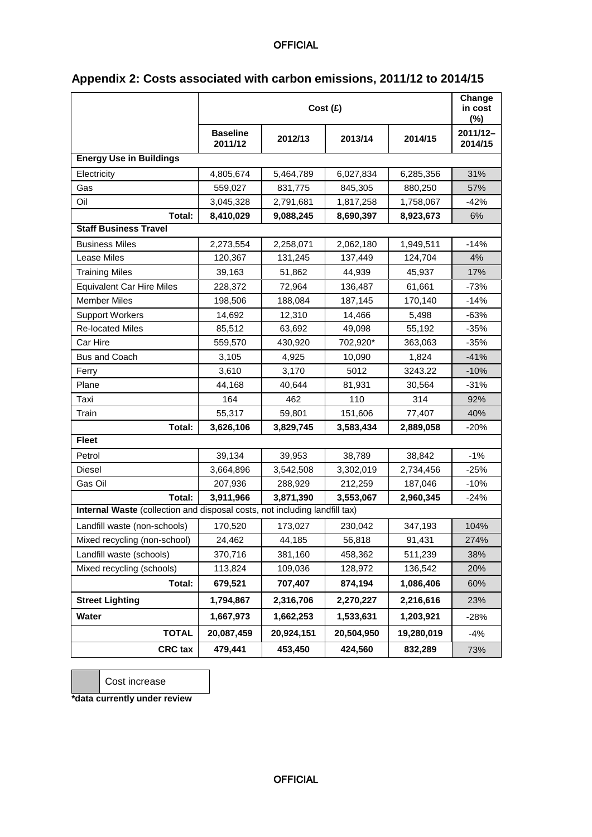|                                                                            | Cost (£)                   |            |            |            | Change<br>in cost<br>(%) |
|----------------------------------------------------------------------------|----------------------------|------------|------------|------------|--------------------------|
|                                                                            | <b>Baseline</b><br>2011/12 | 2012/13    | 2013/14    | 2014/15    | 2011/12-<br>2014/15      |
| <b>Energy Use in Buildings</b>                                             |                            |            |            |            |                          |
| Electricity                                                                | 4,805,674                  | 5,464,789  | 6,027,834  | 6,285,356  | 31%                      |
| Gas                                                                        | 559,027                    | 831,775    | 845,305    | 880,250    | 57%                      |
| Oil                                                                        | 3,045,328                  | 2,791,681  | 1,817,258  | 1,758,067  | $-42%$                   |
| Total:                                                                     | 8,410,029                  | 9,088,245  | 8,690,397  | 8,923,673  | 6%                       |
| <b>Staff Business Travel</b>                                               |                            |            |            |            |                          |
| <b>Business Miles</b>                                                      | 2,273,554                  | 2,258,071  | 2,062,180  | 1,949,511  | $-14%$                   |
| Lease Miles                                                                | 120,367                    | 131,245    | 137,449    | 124,704    | 4%                       |
| <b>Training Miles</b>                                                      | 39,163                     | 51,862     | 44,939     | 45,937     | 17%                      |
| <b>Equivalent Car Hire Miles</b>                                           | 228,372                    | 72,964     | 136,487    | 61,661     | $-73%$                   |
| <b>Member Miles</b>                                                        | 198,506                    | 188,084    | 187,145    | 170,140    | $-14%$                   |
| <b>Support Workers</b>                                                     | 14,692                     | 12,310     | 14,466     | 5.498      | $-63%$                   |
| <b>Re-located Miles</b>                                                    | 85,512                     | 63,692     | 49,098     | 55,192     | $-35%$                   |
| Car Hire                                                                   | 559,570                    | 430,920    | 702,920*   | 363,063    | $-35%$                   |
| <b>Bus and Coach</b>                                                       | 3,105                      | 4,925      | 10,090     | 1.824      | $-41%$                   |
| Ferry                                                                      | 3,610                      | 3.170      | 5012       | 3243.22    | $-10%$                   |
| Plane                                                                      | 44,168                     | 40,644     | 81,931     | 30,564     | $-31%$                   |
| Taxi                                                                       | 164                        | 462        | 110        | 314        | 92%                      |
| Train                                                                      | 55,317                     | 59,801     | 151,606    | 77,407     | 40%                      |
| Total:                                                                     | 3,626,106                  | 3,829,745  | 3,583,434  | 2,889,058  | $-20%$                   |
| <b>Fleet</b>                                                               |                            |            |            |            |                          |
| Petrol                                                                     | 39,134                     | 39,953     | 38,789     | 38,842     | $-1%$                    |
| Diesel                                                                     | 3,664,896                  | 3,542,508  | 3,302,019  | 2,734,456  | $-25%$                   |
| Gas Oil                                                                    | 207,936                    | 288,929    | 212,259    | 187,046    | $-10%$                   |
| Total:                                                                     | 3,911,966                  | 3,871,390  | 3,553,067  | 2,960,345  | $-24%$                   |
| Internal Waste (collection and disposal costs, not including landfill tax) |                            |            |            |            |                          |
| Landfill waste (non-schools)                                               | 170,520                    | 173,027    | 230,042    | 347,193    | 104%                     |
| Mixed recycling (non-school)                                               | 24,462                     | 44,185     | 56,818     | 91,431     | 274%                     |
| Landfill waste (schools)                                                   | 370,716                    | 381,160    | 458,362    | 511,239    | 38%                      |
| Mixed recycling (schools)                                                  | 113,824                    | 109,036    | 128,972    | 136,542    | 20%                      |
| Total:                                                                     | 679,521                    | 707,407    | 874,194    | 1,086,406  | 60%                      |
| <b>Street Lighting</b>                                                     | 1,794,867                  | 2,316,706  | 2,270,227  | 2,216,616  | 23%                      |
| Water                                                                      | 1,667,973                  | 1,662,253  | 1,533,631  | 1,203,921  | $-28%$                   |
| <b>TOTAL</b>                                                               | 20,087,459                 | 20,924,151 | 20,504,950 | 19,280,019 | $-4%$                    |
| <b>CRC</b> tax                                                             | 479,441                    | 453,450    | 424,560    | 832,289    | 73%                      |

# **Appendix 2: Costs associated with carbon emissions, 2011/12 to 2014/15**

Cost increase

**\*data currently under review**